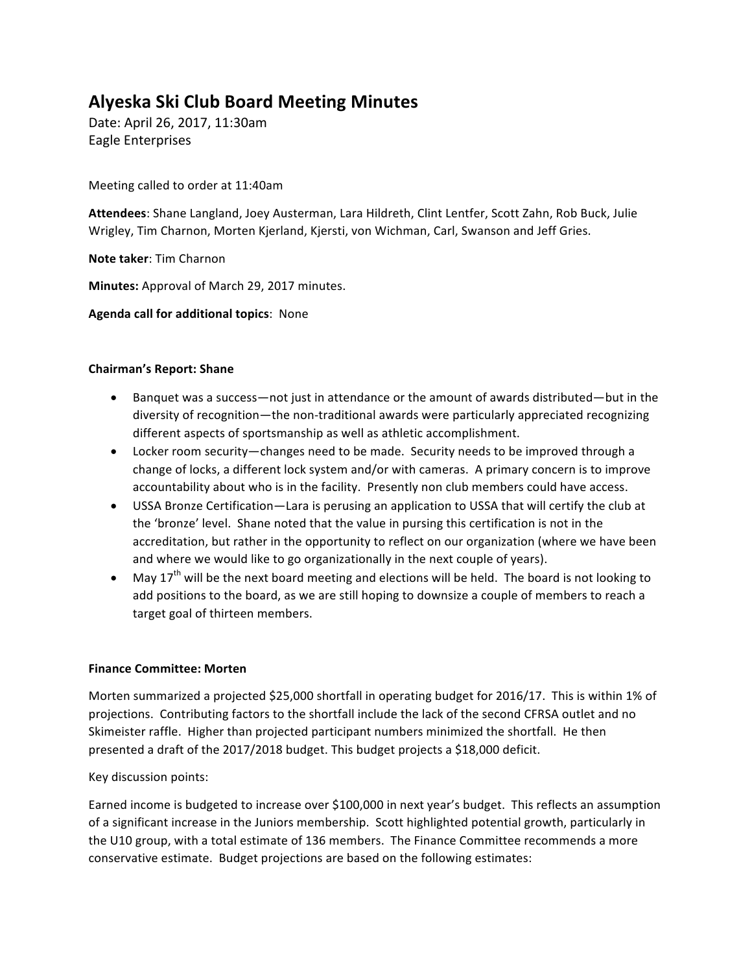# **Alyeska Ski Club Board Meeting Minutes**

Date: April 26, 2017, 11:30am Eagle Enterprises

Meeting called to order at 11:40am

Attendees: Shane Langland, Joey Austerman, Lara Hildreth, Clint Lentfer, Scott Zahn, Rob Buck, Julie Wrigley, Tim Charnon, Morten Kjerland, Kjersti, von Wichman, Carl, Swanson and Jeff Gries.

**Note taker:** Tim Charnon

**Minutes:** Approval of March 29, 2017 minutes.

**Agenda call for additional topics: None** 

# **Chairman's Report: Shane**

- Banquet was a success—not just in attendance or the amount of awards distributed—but in the diversity of recognition—the non-traditional awards were particularly appreciated recognizing different aspects of sportsmanship as well as athletic accomplishment.
- Locker room security—changes need to be made. Security needs to be improved through a change of locks, a different lock system and/or with cameras. A primary concern is to improve accountability about who is in the facility. Presently non club members could have access.
- USSA Bronze Certification—Lara is perusing an application to USSA that will certify the club at the 'bronze' level. Shane noted that the value in pursing this certification is not in the accreditation, but rather in the opportunity to reflect on our organization (where we have been and where we would like to go organizationally in the next couple of years).
- May 17<sup>th</sup> will be the next board meeting and elections will be held. The board is not looking to add positions to the board, as we are still hoping to downsize a couple of members to reach a target goal of thirteen members.

# **Finance Committee: Morten**

Morten summarized a projected \$25,000 shortfall in operating budget for 2016/17. This is within 1% of projections. Contributing factors to the shortfall include the lack of the second CFRSA outlet and no Skimeister raffle. Higher than projected participant numbers minimized the shortfall. He then presented a draft of the 2017/2018 budget. This budget projects a \$18,000 deficit.

# Key discussion points:

Earned income is budgeted to increase over \$100,000 in next year's budget. This reflects an assumption of a significant increase in the Juniors membership. Scott highlighted potential growth, particularly in the U10 group, with a total estimate of 136 members. The Finance Committee recommends a more conservative estimate. Budget projections are based on the following estimates: